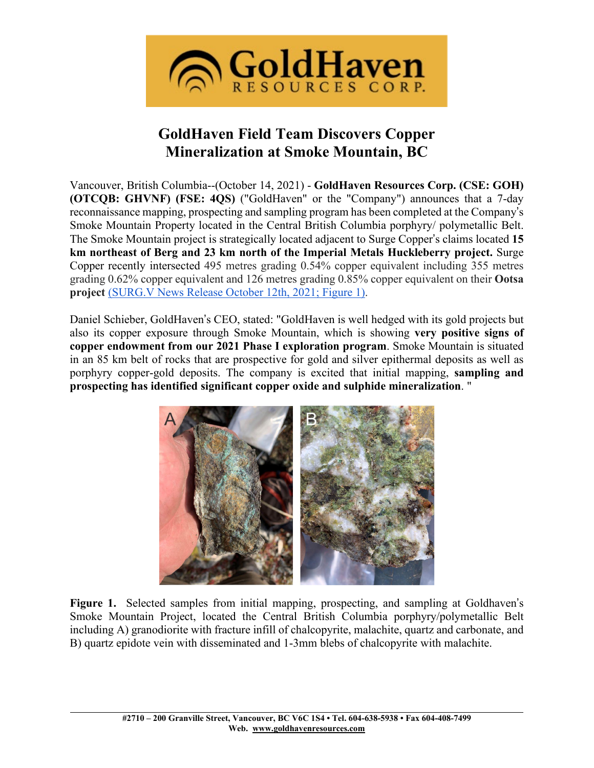

# **GoldHaven Field Team Discovers Copper Mineralization at Smoke Mountain, BC**

Vancouver, British Columbia--(October 14, 2021) - **GoldHaven Resources Corp. (CSE: GOH) (OTCQB: GHVNF) (FSE: 4QS)** ("GoldHaven" or the "Company") announces that a 7-day reconnaissance mapping, prospecting and sampling program has been completed at the Company's Smoke Mountain Property located in the Central British Columbia porphyry/ polymetallic Belt. The Smoke Mountain project is strategically located adjacent to Surge Copper's claims located **15 km northeast of Berg and 23 km north of the Imperial Metals Huckleberry project.** Surge Copper recently intersected 495 metres grading 0.54% copper equivalent including 355 metres grading 0.62% copper equivalent and 126 metres grading 0.85% copper equivalent on their **Ootsa project** [\(SURG.V](https://surgecopper.com/news-releases/surge-copper-intersects-495-metres-of-0.54-cueq-including-126-metres-of-0.85-cueq-at-west-seel-and-previews-upcoming-news-flow/) News Release October 12th, [2021;](https://surgecopper.com/news-releases/surge-copper-intersects-495-metres-of-0.54-cueq-including-126-metres-of-0.85-cueq-at-west-seel-and-previews-upcoming-news-flow/) Figure [1\).](https://surgecopper.com/news-releases/surge-copper-intersects-495-metres-of-0.54-cueq-including-126-metres-of-0.85-cueq-at-west-seel-and-previews-upcoming-news-flow/)

Daniel Schieber, GoldHaven's CEO, stated: "GoldHaven is well hedged with its gold projects but also its copper exposure through Smoke Mountain, which is showing **very positive signs of copper endowment from our 2021 Phase I exploration program**. Smoke Mountain is situated in an 85 km belt of rocks that are prospective for gold and silver epithermal deposits as well as porphyry copper-gold deposits. The company is excited that initial mapping, **sampling and prospecting has identified significant copper oxide and sulphide mineralization**. "



**Figure 1.** Selected samples from initial mapping, prospecting, and sampling at Goldhaven's Smoke Mountain Project, located the Central British Columbia porphyry/polymetallic Belt including A) granodiorite with fracture infill of chalcopyrite, malachite, quartz and carbonate, and B) quartz epidote vein with disseminated and 1-3mm blebs of chalcopyrite with malachite.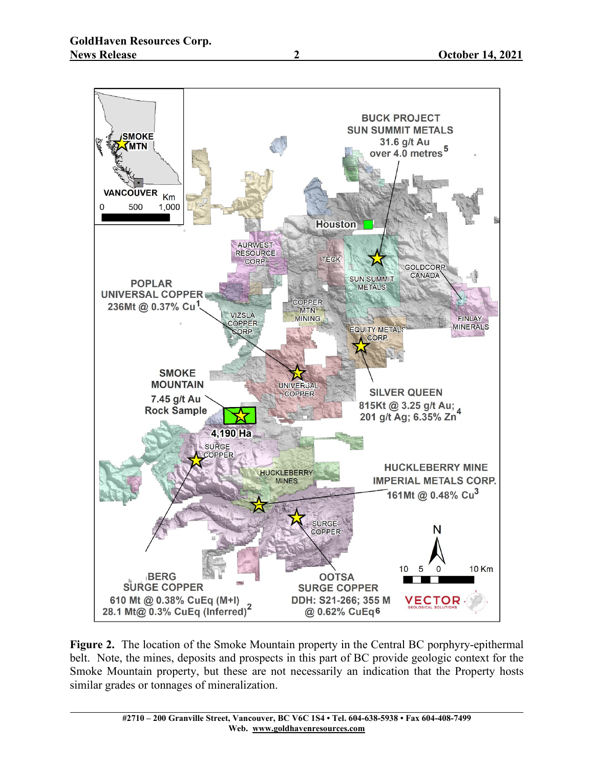

**Figure 2.** The location of the Smoke Mountain property in the Central BC porphyry-epithermal belt. Note, the mines, deposits and prospects in this part of BC provide geologic context for the Smoke Mountain property, but these are not necessarily an indication that the Property hosts similar grades or tonnages of mineralization.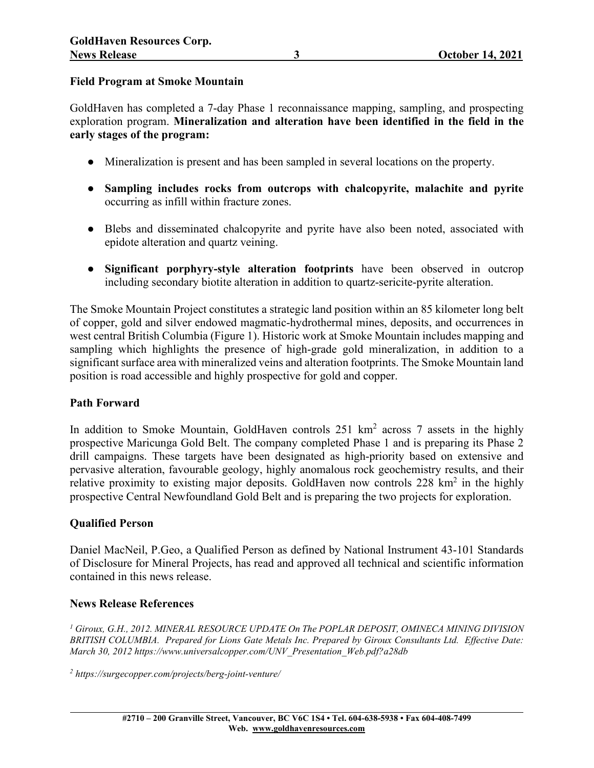#### **Field Program at Smoke Mountain**

GoldHaven has completed a 7-day Phase 1 reconnaissance mapping, sampling, and prospecting exploration program. **Mineralization and alteration have been identified in the field in the early stages of the program:**

- Mineralization is present and has been sampled in several locations on the property.
- **Sampling includes rocks from outcrops with chalcopyrite, malachite and pyrite** occurring as infill within fracture zones.
- Blebs and disseminated chalcopyrite and pyrite have also been noted, associated with epidote alteration and quartz veining.
- **Significant porphyry-style alteration footprints** have been observed in outcrop including secondary biotite alteration in addition to quartz-sericite-pyrite alteration.

The Smoke Mountain Project constitutes a strategic land position within an 85 kilometer long belt of copper, gold and silver endowed magmatic-hydrothermal mines, deposits, and occurrences in west central British Columbia (Figure 1). Historic work at Smoke Mountain includes mapping and sampling which highlights the presence of high-grade gold mineralization, in addition to a significant surface area with mineralized veins and alteration footprints. The Smoke Mountain land position is road accessible and highly prospective for gold and copper.

## **Path Forward**

In addition to Smoke Mountain, GoldHaven controls 251 km<sup>2</sup> across 7 assets in the highly prospective Maricunga Gold Belt. The company completed Phase 1 and is preparing its Phase 2 drill campaigns. These targets have been designated as high-priority based on extensive and pervasive alteration, favourable geology, highly anomalous rock geochemistry results, and their relative proximity to existing major deposits. GoldHaven now controls  $228 \text{ km}^2$  in the highly prospective Central Newfoundland Gold Belt and is preparing the two projects for exploration.

#### **Qualified Person**

Daniel MacNeil, P.Geo, a Qualified Person as defined by National Instrument 43-101 Standards of Disclosure for Mineral Projects, has read and approved all technical and scientific information contained in this news release.

#### **News Release References**

*<sup>1</sup> Giroux, G.H., 2012. MINERAL RESOURCE UPDATE On The POPLAR DEPOSIT, OMINECA MINING DIVISION BRITISH COLUMBIA. Prepared for Lions Gate Metals Inc. Prepared by Giroux Consultants Ltd. Effective Date: March 30, 2012 [https://www.universalcopper.com/UNV\\_Presentation\\_Web.pdf?a28db](https://www.universalcopper.com/UNV_Presentation_Web.pdf?a28db)*

*<sup>2</sup> https://surgecopper.com/projects/berg-joint-venture/*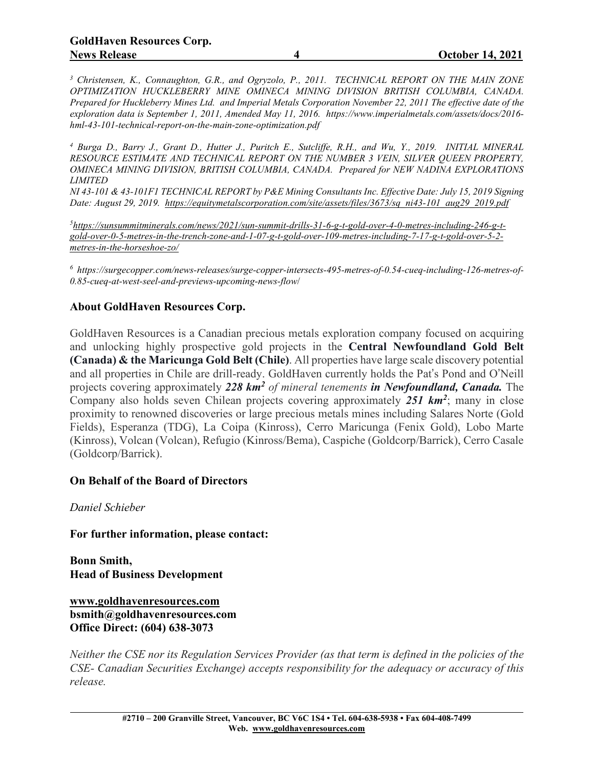*<sup>3</sup> Christensen, K., Connaughton, G.R., and Ogryzolo, P., 2011. TECHNICAL REPORT ON THE MAIN ZONE OPTIMIZATION HUCKLEBERRY MINE OMINECA MINING DIVISION BRITISH COLUMBIA, CANADA. Prepared for Huckleberry Mines Ltd. and Imperial Metals Corporation November 22, 2011 The effective date of the exploration data is September 1, 2011, Amended May 11, 2016. https://www.imperialmetals.com/assets/docs/2016 hml-43-101-technical-report-on-the-main-zone-optimization.pdf*

<sup>4</sup> Burga D., Barry J., Grant D., Hutter J., Puritch E., Sutcliffe, R.H., and Wu, Y., 2019. INITIAL MINERAL *RESOURCE ESTIMATE AND TECHNICAL REPORT ON THE NUMBER 3 VEIN, SILVER QUEEN PROPERTY, OMINECA MINING DIVISION, BRITISH COLUMBIA, CANADA. Prepared for NEW NADINA EXPLORATIONS LIMITED*

NI 43-101 & 43-101F1 TECHNICAL REPORT by P&E Mining Consultants Inc. Effective Date: July 15, 2019 Signing *Date: August 29, 2019. [https://equitymetalscorporation.com/site/assets/files/3673/sq\\_ni43-101\\_aug29\\_2019.pdf](https://equitymetalscorporation.com/site/assets/files/3673/sq_ni43-101_aug29_2019.pdf)*

*5 [https://sunsummitminerals.com/news/2021/sun-summit-drills-31-6-g-t-gold-over-4-0-metres-including-246-g-t](https://sunsummitminerals.com/news/2021/sun-summit-drills-31-6-g-t-gold-over-4-0-metres-including-246-g-t-gold-over-0-5-metres-in-the-trench-zone-and-1-07-g-t-gold-over-109-metres-including-7-17-g-t-gold-over-5-2-metres-in-the-horseshoe-zo/)[gold-over-0-5-metres-in-the-trench-zone-and-1-07-g-t-gold-over-109-metres-including-7-17-g-t-gold-over-5-2](https://sunsummitminerals.com/news/2021/sun-summit-drills-31-6-g-t-gold-over-4-0-metres-including-246-g-t-gold-over-0-5-metres-in-the-trench-zone-and-1-07-g-t-gold-over-109-metres-including-7-17-g-t-gold-over-5-2-metres-in-the-horseshoe-zo/) [metres-in-the-horseshoe-zo/](https://sunsummitminerals.com/news/2021/sun-summit-drills-31-6-g-t-gold-over-4-0-metres-including-246-g-t-gold-over-0-5-metres-in-the-trench-zone-and-1-07-g-t-gold-over-109-metres-including-7-17-g-t-gold-over-5-2-metres-in-the-horseshoe-zo/)*

*<sup>6</sup> https://surgecopper.com/news-releases/surge-copper-intersects-495-metres-of-0.54-cueq-including-126-metres-of-0.85-cueq-at-west-seel-and-previews-upcoming-news-flow*/

### **About GoldHaven Resources Corp.**

GoldHaven Resources is a Canadian precious metals exploration company focused on acquiring and unlocking highly prospective gold projects in the **Central Newfoundland Gold Belt (Canada) & the Maricunga Gold Belt (Chile)**. All properties have large scale discovery potential and all properties in Chile are drill-ready. GoldHaven currently holds the Pat's Pond and O'Neill projects covering approximately *228 km2 of mineral tenements in Newfoundland, Canada.* The Company also holds seven Chilean projects covering approximately *251 km2*; many in close proximity to renowned discoveries or large precious metals mines including Salares Norte (Gold Fields), Esperanza (TDG), La Coipa (Kinross), Cerro Maricunga (Fenix Gold), Lobo Marte (Kinross), Volcan (Volcan), Refugio (Kinross/Bema), Caspiche (Goldcorp/Barrick), Cerro Casale (Goldcorp/Barrick).

#### **On Behalf of the Board of Directors**

*Daniel Schieber*

**For further information, please contact:**

**Bonn Smith, Head of Business Development**

**[www.goldhavenresources.com](http://www.goldhavenresources.com/) bsmith@goldhavenresources.com Office Direct: (604) 638-3073**

Neither the CSE nor its Regulation Services Provider (as that term is defined in the policies of the *CSE- Canadian Securities Exchange) accepts responsibility for the adequacy or accuracy of this release.*